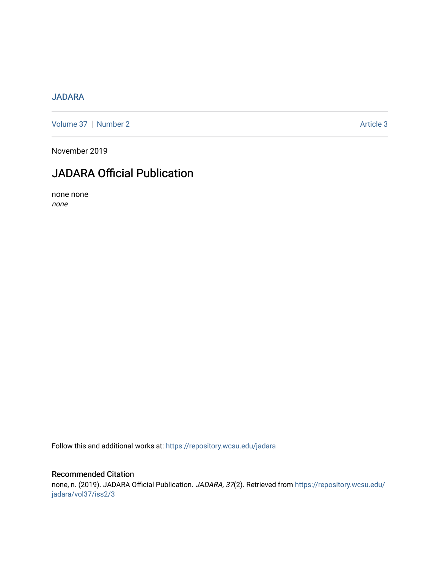## [JADARA](https://repository.wcsu.edu/jadara)

[Volume 37](https://repository.wcsu.edu/jadara/vol37) | [Number 2](https://repository.wcsu.edu/jadara/vol37/iss2) Article 3

November 2019

# JADARA Official Publication

none none none

Follow this and additional works at: [https://repository.wcsu.edu/jadara](https://repository.wcsu.edu/jadara?utm_source=repository.wcsu.edu%2Fjadara%2Fvol37%2Fiss2%2F3&utm_medium=PDF&utm_campaign=PDFCoverPages)

## Recommended Citation

none, n. (2019). JADARA Official Publication. JADARA, 37(2). Retrieved from [https://repository.wcsu.edu/](https://repository.wcsu.edu/jadara/vol37/iss2/3?utm_source=repository.wcsu.edu%2Fjadara%2Fvol37%2Fiss2%2F3&utm_medium=PDF&utm_campaign=PDFCoverPages) [jadara/vol37/iss2/3](https://repository.wcsu.edu/jadara/vol37/iss2/3?utm_source=repository.wcsu.edu%2Fjadara%2Fvol37%2Fiss2%2F3&utm_medium=PDF&utm_campaign=PDFCoverPages)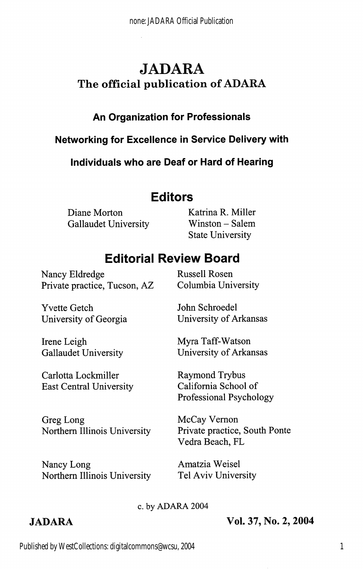# JADARA The official publication of ADARA

## An Organization for Professionais

## Networking for Exceilence in Service Deiivery with

Individuals who are Deaf or Hard of Hearing

## Editors

Diane Morton Katrina R. Miller Gallaudet University Winston - Salem

State University

# Editorial Review Board

Nancy Eldredge Russell Rosen Private practice, Tucson, AZ Columbia University

University of Arkansas

Yvette Getch University of Georgia

Irene Leigh Gallaudet University

Myra Taff-Watson University of Arkansas

John Schroedel

Carlotta Lockmiller East Central University

Greg Long Northern Illinois University

Nancy Long Northern Illinois University Raymond Trybus California School of Professional Psychology

McCay Vemon Private practice. South Ponte Vedra Beach, PL

Amatzia Weisel Tel Aviv University

#### c. by ADARA 2004

## JADARA Vol. 37, No. 2, 2004

Published by WestCollections: digitalcommons@wcsu, 2004